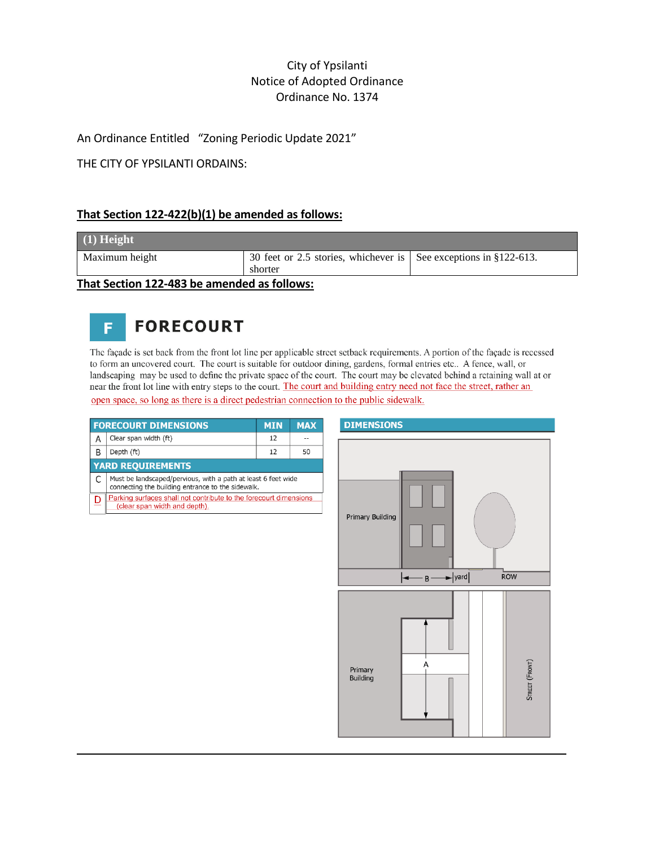# City of Ypsilanti Notice of Adopted Ordinance Ordinance No. 1374

An Ordinance Entitled "Zoning Periodic Update 2021"

THE CITY OF YPSILANTI ORDAINS:

### **That Section 122-422(b)(1) be amended as follows:**

| $(1)$ Height                                |                                                                          |  |
|---------------------------------------------|--------------------------------------------------------------------------|--|
| Maximum height                              | 30 feet or 2.5 stories, whichever is $\vert$ See exceptions in §122-613. |  |
|                                             | shorter                                                                  |  |
| That Section 122-483 be amended as follows: |                                                                          |  |

#### **FORECOURT** F

The façade is set back from the front lot line per applicable street setback requirements. A portion of the façade is recessed to form an uncovered court. The court is suitable for outdoor dining, gardens, formal entries etc.. A fence, wall, or landscaping may be used to define the private space of the court. The court may be elevated behind a retaining wall at or near the front lot line with entry steps to the court. The court and building entry need not face the street, rather an open space, so long as there is a direct pedestrian connection to the public sidewalk.

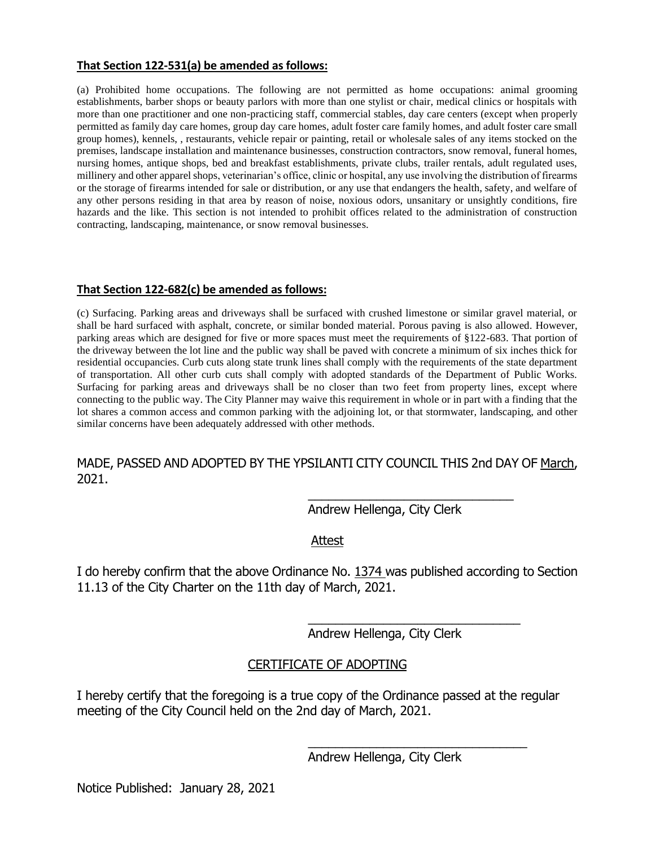#### **That Section 122-531(a) be amended as follows:**

(a) Prohibited home occupations. The following are not permitted as home occupations: animal grooming establishments, barber shops or beauty parlors with more than one stylist or chair, medical clinics or hospitals with more than one practitioner and one non-practicing staff, commercial stables, day care centers (except when properly permitted as family day care homes, group day care homes, adult foster care family homes, and adult foster care small group homes), kennels, , restaurants, vehicle repair or painting, retail or wholesale sales of any items stocked on the premises, landscape installation and maintenance businesses, construction contractors, snow removal, funeral homes, nursing homes, antique shops, bed and breakfast establishments, private clubs, trailer rentals, adult regulated uses, millinery and other apparel shops, veterinarian's office, clinic or hospital, any use involving the distribution of firearms or the storage of firearms intended for sale or distribution, or any use that endangers the health, safety, and welfare of any other persons residing in that area by reason of noise, noxious odors, unsanitary or unsightly conditions, fire hazards and the like. This section is not intended to prohibit offices related to the administration of construction contracting, landscaping, maintenance, or snow removal businesses.

### **That Section 122-682(c) be amended as follows:**

(c) Surfacing. Parking areas and driveways shall be surfaced with crushed limestone or similar gravel material, or shall be hard surfaced with asphalt, concrete, or similar bonded material. Porous paving is also allowed. However, parking areas which are designed for five or more spaces must meet the requirements of §122-683. That portion of the driveway between the lot line and the public way shall be paved with concrete a minimum of six inches thick for residential occupancies. Curb cuts along state trunk lines shall comply with the requirements of the state department of transportation. All other curb cuts shall comply with adopted standards of the Department of Public Works. Surfacing for parking areas and driveways shall be no closer than two feet from property lines, except where connecting to the public way. The City Planner may waive this requirement in whole or in part with a finding that the lot shares a common access and common parking with the adjoining lot, or that stormwater, landscaping, and other similar concerns have been adequately addressed with other methods.

# MADE, PASSED AND ADOPTED BY THE YPSILANTI CITY COUNCIL THIS 2nd DAY OF March, 2021.

Andrew Hellenga, City Clerk

\_\_\_\_\_\_\_\_\_\_\_\_\_\_\_\_\_\_\_\_\_\_\_\_\_\_\_\_\_\_

\_\_\_\_\_\_\_\_\_\_\_\_\_\_\_\_\_\_\_\_\_\_\_\_\_\_\_\_\_\_\_

\_\_\_\_\_\_\_\_\_\_\_\_\_\_\_\_\_\_\_\_\_\_\_\_\_\_\_\_\_\_\_\_

Attest

I do hereby confirm that the above Ordinance No. 1374 was published according to Section 11.13 of the City Charter on the 11th day of March, 2021.

Andrew Hellenga, City Clerk

## CERTIFICATE OF ADOPTING

I hereby certify that the foregoing is a true copy of the Ordinance passed at the regular meeting of the City Council held on the 2nd day of March, 2021.

Andrew Hellenga, City Clerk

Notice Published: January 28, 2021